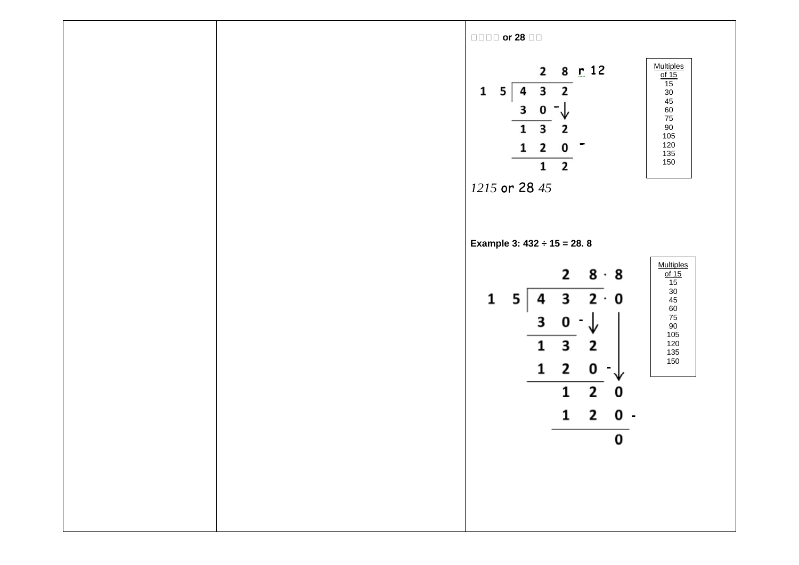